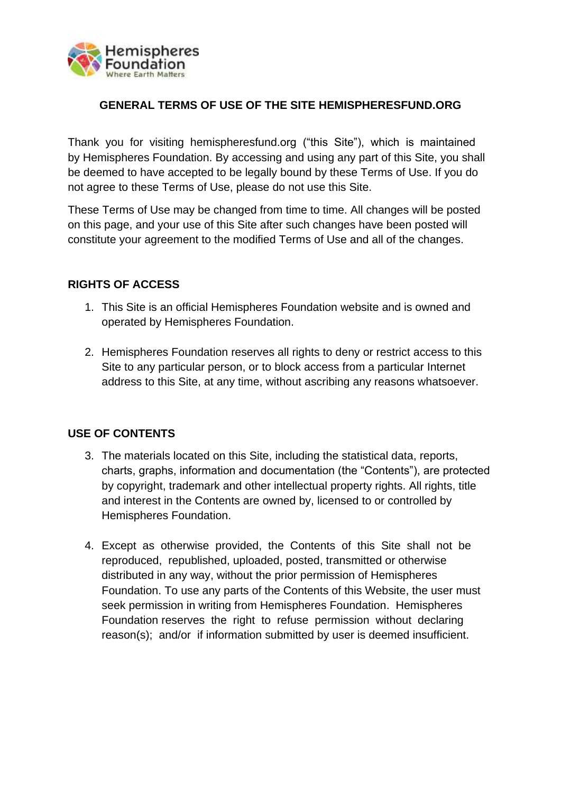

# **GENERAL TERMS OF USE OF THE SITE HEMISPHERESFUND.ORG**

Thank you for visiting hemispheresfund.org ("this Site"), which is maintained by Hemispheres Foundation. By accessing and using any part of this Site, you shall be deemed to have accepted to be legally bound by these Terms of Use. If you do not agree to these Terms of Use, please do not use this Site.

These Terms of Use may be changed from time to time. All changes will be posted on this page, and your use of this Site after such changes have been posted will constitute your agreement to the modified Terms of Use and all of the changes.

## **RIGHTS OF ACCESS**

- 1. This Site is an official Hemispheres Foundation website and is owned and operated by Hemispheres Foundation.
- 2. Hemispheres Foundation reserves all rights to deny or restrict access to this Site to any particular person, or to block access from a particular Internet address to this Site, at any time, without ascribing any reasons whatsoever.

## **USE OF CONTENTS**

- 3. The materials located on this Site, including the statistical data, reports, charts, graphs, information and documentation (the "Contents"), are protected by copyright, trademark and other intellectual property rights. All rights, title and interest in the Contents are owned by, licensed to or controlled by Hemispheres Foundation.
- 4. Except as otherwise provided, the Contents of this Site shall not be reproduced, republished, uploaded, posted, transmitted or otherwise distributed in any way, without the prior permission of Hemispheres Foundation. To use any parts of the Contents of this Website, the user must seek permission in writing from Hemispheres Foundation. Hemispheres Foundation reserves the right to refuse permission without declaring reason(s); and/or if information submitted by user is deemed insufficient.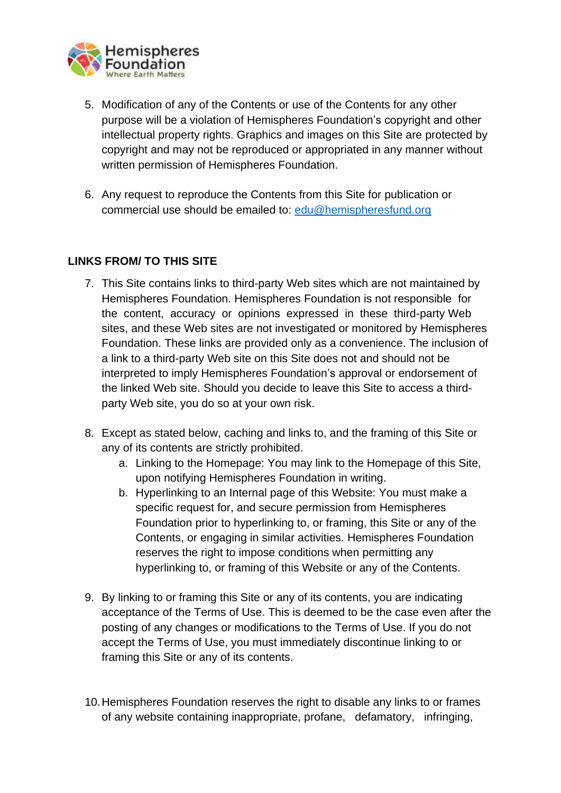

- 5. Modification of any of the Contents or use of the Contents for any other purpose will be a violation of Hemispheres Foundation's copyright and other intellectual property rights. Graphics and images on this Site are protected by copyright and may not be reproduced or appropriated in any manner without written permission of Hemispheres Foundation.
- 6. Any request to reproduce the Contents from this Site for publication or commercial use should be emailed to: [edu@hemispheresfund.org](mailto:edu@hemispheresfund.org)

# **LINKS FROM/ TO THIS SITE**

- 7. This Site contains links to third-party Web sites which are not maintained by Hemispheres Foundation. Hemispheres Foundation is not responsible for the content, accuracy or opinions expressed in these third-party Web sites, and these Web sites are not investigated or monitored by Hemispheres Foundation. These links are provided only as a convenience. The inclusion of a link to a third-party Web site on this Site does not and should not be interpreted to imply Hemispheres Foundation's approval or endorsement of the linked Web site. Should you decide to leave this Site to access a thirdparty Web site, you do so at your own risk.
- 8. Except as stated below, caching and links to, and the framing of this Site or any of its contents are strictly prohibited.
	- a. Linking to the Homepage: You may link to the Homepage of this Site, upon notifying Hemispheres Foundation in writing.
	- b. Hyperlinking to an Internal page of this Website: You must make a specific request for, and secure permission from Hemispheres Foundation prior to hyperlinking to, or framing, this Site or any of the Contents, or engaging in similar activities. Hemispheres Foundation reserves the right to impose conditions when permitting any hyperlinking to, or framing of this Website or any of the Contents.
- 9. By linking to or framing this Site or any of its contents, you are indicating acceptance of the Terms of Use. This is deemed to be the case even after the posting of any changes or modifications to the Terms of Use. If you do not accept the Terms of Use, you must immediately discontinue linking to or framing this Site or any of its contents.
- 10.Hemispheres Foundation reserves the right to disable any links to or frames of any website containing inappropriate, profane, defamatory, infringing,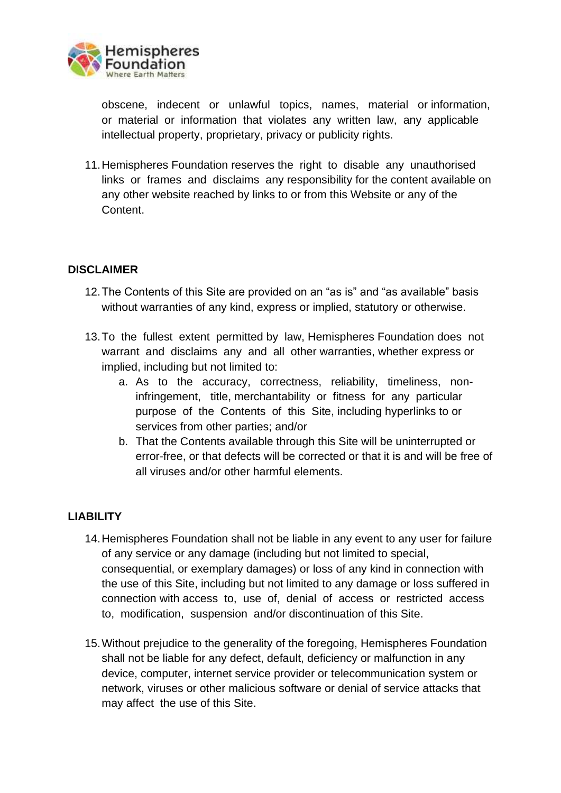

obscene, indecent or unlawful topics, names, material or information, or material or information that violates any written law, any applicable intellectual property, proprietary, privacy or publicity rights.

11.Hemispheres Foundation reserves the right to disable any unauthorised links or frames and disclaims any responsibility for the content available on any other website reached by links to or from this Website or any of the **Content** 

# **DISCLAIMER**

- 12.The Contents of this Site are provided on an "as is" and "as available" basis without warranties of any kind, express or implied, statutory or otherwise.
- 13.To the fullest extent permitted by law, Hemispheres Foundation does not warrant and disclaims any and all other warranties, whether express or implied, including but not limited to:
	- a. As to the accuracy, correctness, reliability, timeliness, noninfringement, title, merchantability or fitness for any particular purpose of the Contents of this Site, including hyperlinks to or services from other parties; and/or
	- b. That the Contents available through this Site will be uninterrupted or error-free, or that defects will be corrected or that it is and will be free of all viruses and/or other harmful elements.

## **LIABILITY**

- 14.Hemispheres Foundation shall not be liable in any event to any user for failure of any service or any damage (including but not limited to special, consequential, or exemplary damages) or loss of any kind in connection with the use of this Site, including but not limited to any damage or loss suffered in connection with access to, use of, denial of access or restricted access to, modification, suspension and/or discontinuation of this Site.
- 15.Without prejudice to the generality of the foregoing, Hemispheres Foundation shall not be liable for any defect, default, deficiency or malfunction in any device, computer, internet service provider or telecommunication system or network, viruses or other malicious software or denial of service attacks that may affect the use of this Site.